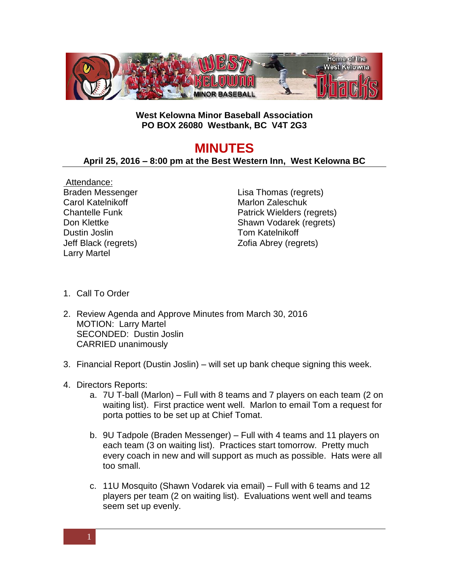

## **West Kelowna Minor Baseball Association PO BOX 26080 Westbank, BC V4T 2G3**

## **MINUTES**

## **April 25, 2016 – 8:00 pm at the Best Western Inn, West Kelowna BC**

Attendance: Braden Messenger Carol Katelnikoff Chantelle Funk Don Klettke Dustin Joslin Jeff Black (regrets) Larry Martel

Lisa Thomas (regrets) Marlon Zaleschuk Patrick Wielders (regrets) Shawn Vodarek (regrets) Tom Katelnikoff Zofia Abrey (regrets)

- 1. Call To Order
- 2. Review Agenda and Approve Minutes from March 30, 2016 MOTION: Larry Martel SECONDED: Dustin Joslin CARRIED unanimously
- 3. Financial Report (Dustin Joslin) will set up bank cheque signing this week.
- 4. Directors Reports:
	- a. 7U T-ball (Marlon) Full with 8 teams and 7 players on each team (2 on waiting list). First practice went well. Marlon to email Tom a request for porta potties to be set up at Chief Tomat.
	- b. 9U Tadpole (Braden Messenger) Full with 4 teams and 11 players on each team (3 on waiting list). Practices start tomorrow. Pretty much every coach in new and will support as much as possible. Hats were all too small.
	- c. 11U Mosquito (Shawn Vodarek via email) Full with 6 teams and 12 players per team (2 on waiting list). Evaluations went well and teams seem set up evenly.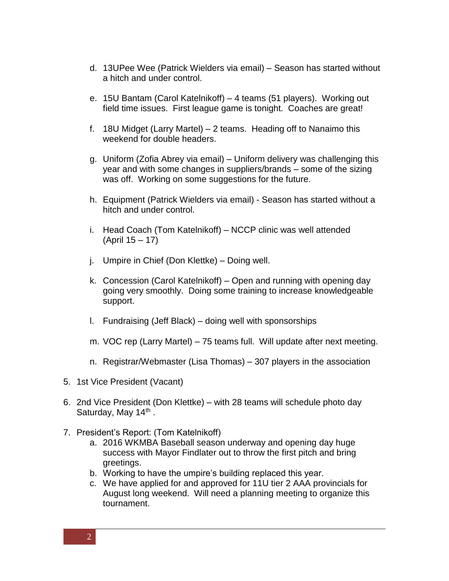- d. 13UPee Wee (Patrick Wielders via email) Season has started without a hitch and under control.
- e. 15U Bantam (Carol Katelnikoff) 4 teams (51 players). Working out field time issues. First league game is tonight. Coaches are great!
- f. 18U Midget (Larry Martel) 2 teams. Heading off to Nanaimo this weekend for double headers.
- g. Uniform (Zofia Abrey via email) Uniform delivery was challenging this year and with some changes in suppliers/brands – some of the sizing was off. Working on some suggestions for the future.
- h. Equipment (Patrick Wielders via email) Season has started without a hitch and under control.
- i. Head Coach (Tom Katelnikoff) NCCP clinic was well attended (April 15 – 17)
- j. Umpire in Chief (Don Klettke) Doing well.
- k. Concession (Carol Katelnikoff) Open and running with opening day going very smoothly. Doing some training to increase knowledgeable support.
- l. Fundraising (Jeff Black) doing well with sponsorships
- m. VOC rep (Larry Martel) 75 teams full. Will update after next meeting.
- n. Registrar/Webmaster (Lisa Thomas) 307 players in the association
- 5. 1st Vice President (Vacant)
- 6. 2nd Vice President (Don Klettke) with 28 teams will schedule photo day Saturday, May 14<sup>th</sup>.
- 7. President's Report: (Tom Katelnikoff)
	- a. 2016 WKMBA Baseball season underway and opening day huge success with Mayor Findlater out to throw the first pitch and bring greetings.
	- b. Working to have the umpire's building replaced this year.
	- c. We have applied for and approved for 11U tier 2 AAA provincials for August long weekend. Will need a planning meeting to organize this tournament.